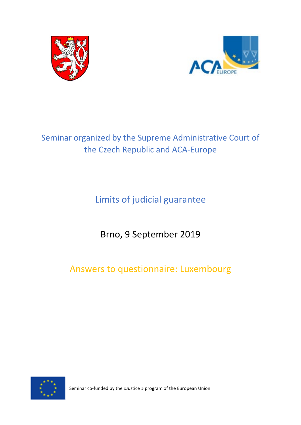



# Seminar organized by the Supreme Administrative Court of the Czech Republic and ACA-Europe

Limits of judicial guarantee

Brno, 9 September 2019

Answers to questionnaire: Luxembourg



Seminar co-funded by the «Justice » program of the European Union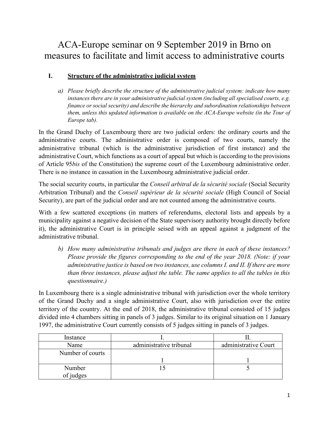## ACA-Europe seminar on 9 September 2019 in Brno on measures to facilitate and limit access to administrative courts

## **I. Structure of the administrative judicial system**

*a) Please briefly describe the structure of the administrative judicial system: indicate how many instances there are in your administrative judicial system (including all specialised courts, e.g. finance or social security) and describe the hierarchy and subordination relationships between them, unless this updated information is available on the ACA-Europe website (in the Tour of Europe tab).*

In the Grand Duchy of Luxembourg there are two judicial orders: the ordinary courts and the administrative courts. The administrative order is composed of two courts, namely the administrative tribunal (which is the administrative jurisdiction of first instance) and the administrative Court, which functions as a court of appeal but which is (according to the provisions of Article 95*bis* of the Constitution) the supreme court of the Luxembourg administrative order. There is no instance in cassation in the Luxembourg administrative judicial order.

The social security courts, in particular the *Conseil arbitral de la sécurité sociale* (Social Security Arbitration Tribunal) and the *Conseil supérieur de la sécurité sociale* (High Council of Social Security), are part of the judicial order and are not counted among the administrative courts.

With a few scattered exceptions (in matters of referendums, electoral lists and appeals by a municipality against a negative decision of the State supervisory authority brought directly before it), the administrative Court is in principle seised with an appeal against a judgment of the administrative tribunal.

*b) How many administrative tribunals and judges are there in each of these instances? Please provide the figures corresponding to the end of the year 2018. (Note: if your administrative justice is based on two instances, use columns I. and II. If there are more than three instances, please adjust the table. The same applies to all the tables in this questionnaire.)*

In Luxembourg there is a single administrative tribunal with jurisdiction over the whole territory of the Grand Duchy and a single administrative Court, also with jurisdiction over the entire territory of the country. At the end of 2018, the administrative tribunal consisted of 15 judges divided into 4 chambers sitting in panels of 3 judges. Similar to its original situation on 1 January 1997, the administrative Court currently consists of 5 judges sitting in panels of 3 judges.

| Instance         |                         |                      |
|------------------|-------------------------|----------------------|
| Name             | administrative tribunal | administrative Court |
| Number of courts |                         |                      |
|                  |                         |                      |
| Number           |                         |                      |
| of judges        |                         |                      |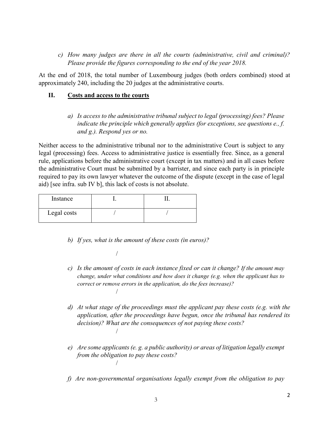*c) How many judges are there in all the courts (administrative, civil and criminal)? Please provide the figures corresponding to the end of the year 2018.*

At the end of 2018, the total number of Luxembourg judges (both orders combined) stood at approximately 240, including the 20 judges at the administrative courts.

### **II. Costs and access to the courts**

*a) Is access to the administrative tribunal subject to legal (processing) fees? Please indicate the principle which generally applies (for exceptions, see questions e., f. and g.). Respond yes or no.*

Neither access to the administrative tribunal nor to the administrative Court is subject to any legal (processing) fees. Access to administrative justice is essentially free. Since, as a general rule, applications before the administrative court (except in tax matters) and in all cases before the administrative Court must be submitted by a barrister, and since each party is in principle required to pay its own lawyer whatever the outcome of the dispute (except in the case of legal aid) [see infra. sub IV b], this lack of costs is not absolute.

| Instance    |  |
|-------------|--|
| Legal costs |  |

/

- *b) If yes, what is the amount of these costs (in euros)?*
- *c) Is the amount of costs in each instance fixed or can it change? If the amount may change, under what conditions and how does it change (e.g. when the applicant has to correct or remove errors in the application, do the fees increase)?* /
- *d) At what stage of the proceedings must the applicant pay these costs (e.g. with the application, after the proceedings have begun, once the tribunal has rendered its decision)? What are the consequences of not paying these costs?* /
- *e) Are some applicants (e. g. a public authority) or areas of litigation legally exempt from the obligation to pay these costs?* /
- *f) Are non-governmental organisations legally exempt from the obligation to pay*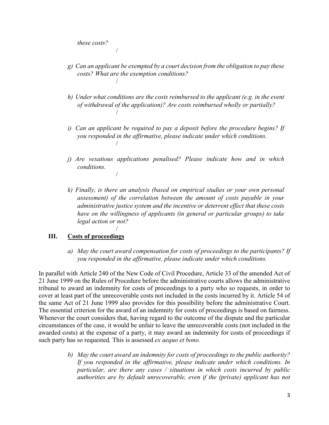*these costs?*

/

- *g) Can an applicant be exempted by a court decision from the obligation to pay these costs? What are the exemption conditions?* /
- *h) Under what conditions are the costs reimbursed to the applicant (e.g. in the event of withdrawal of the application)? Are costs reimbursed wholly or partially?* /
- *i) Can an applicant be required to pay a deposit before the procedure begins? If you responded in the affirmative, please indicate under which conditions.* /
- *j) Are vexatious applications penalised? Please indicate how and in which conditions.* /
- *k) Finally, is there an analysis (based on empirical studies or your own personal assessment) of the correlation between the amount of costs payable in your administrative justice system and the incentive or deterrent effect that these costs have on the willingness of applicants (in general or particular groups) to take legal action or not?*

### **III. Costs of proceedings**

/

*a) May the court award compensation for costs of proceedings to the participants? If you responded in the affirmative, please indicate under which conditions.*

In parallel with Article 240 of the New Code of Civil Procedure, Article 33 of the amended Act of 21 June 1999 on the Rules of Procedure before the administrative courts allows the administrative tribunal to award an indemnity for costs of proceedings to a party who so requests, in order to cover at least part of the unrecoverable costs not included in the costs incurred by it. Article 54 of the same Act of 21 June 1999 also provides for this possibility before the administrative Court. The essential criterion for the award of an indemnity for costs of proceedings is based on fairness. Whenever the court considers that, having regard to the outcome of the dispute and the particular circumstances of the case, it would be unfair to leave the unrecoverable costs (not included in the awarded costs) at the expense of a party, it may award an indemnity for costs of proceedings if such party has so requested. This is assessed *ex aequo et bono.*

> *b) May the court award an indemnity for costs of proceedings to the public authority? If you responded in the affirmative, please indicate under which conditions. In particular, are there any cases / situations in which costs incurred by public authorities are by default unrecoverable, even if the (private) applicant has not*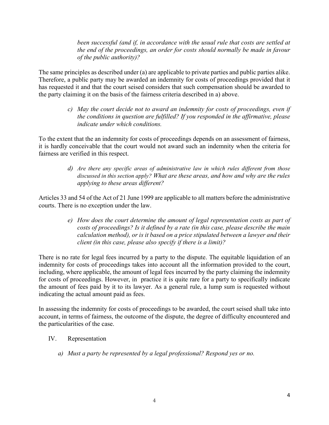been successful (and if, in accordance with the usual rule that costs are settled at *the end of the proceedings, an order for costs should normally be made in favour of the public authority)?*

The same principles as described under (a) are applicable to private parties and public parties alike. Therefore, a public party may be awarded an indemnity for costs of proceedings provided that it has requested it and that the court seised considers that such compensation should be awarded to the party claiming it on the basis of the fairness criteria described in a) above.

> *c) May the court decide not to award an indemnity for costs of proceedings, even if the conditions in question are fulfilled? If you responded in the affirmative, please indicate under which conditions.*

To the extent that the an indemnity for costs of proceedings depends on an assessment of fairness, it is hardly conceivable that the court would not award such an indemnity when the criteria for fairness are verified in this respect.

> *d) Are there any specific areas of administrative law in which rules different from those discussed in this section apply? What are these areas, and how and why are the rules applying to these areas different?*

Articles 33 and 54 of the Act of 21 June 1999 are applicable to all matters before the administrative courts. There is no exception under the law.

> *e) How does the court determine the amount of legal representation costs as part of costs of proceedings? Is it defined by a rate (in this case, please describe the main calculation method), or is it based on a price stipulated between a lawyer and their client (in this case, please also specify if there is a limit)?*

There is no rate for legal fees incurred by a party to the dispute. The equitable liquidation of an indemnity for costs of proceedings takes into account all the information provided to the court, including, where applicable, the amount of legal fees incurred by the party claiming the indemnity for costs of proceedings. However, in practice it is quite rare for a party to specifically indicate the amount of fees paid by it to its lawyer. As a general rule, a lump sum is requested without indicating the actual amount paid as fees.

In assessing the indemnity for costs of proceedings to be awarded, the court seised shall take into account, in terms of fairness, the outcome of the dispute, the degree of difficulty encountered and the particularities of the case.

- IV. Representation
	- *a) Must a party be represented by a legal professional? Respond yes or no.*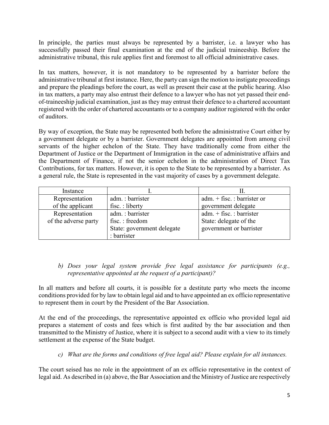In principle, the parties must always be represented by a barrister, i.e. a lawyer who has successfully passed their final examination at the end of the judicial traineeship. Before the administrative tribunal, this rule applies first and foremost to all official administrative cases.

In tax matters, however, it is not mandatory to be represented by a barrister before the administrative tribunal at first instance. Here, the party can sign the motion to instigate proceedings and prepare the pleadings before the court, as well as present their case at the public hearing. Also in tax matters, a party may also entrust their defence to a lawyer who has not yet passed their endof-traineeship judicial examination, just as they may entrust their defence to a chartered accountant registered with the order of chartered accountants or to a company auditor registered with the order of auditors.

By way of exception, the State may be represented both before the administrative Court either by a government delegate or by a barrister. Government delegates are appointed from among civil servants of the higher echelon of the State. They have traditionally come from either the Department of Justice or the Department of Immigration in the case of administrative affairs and the Department of Finance, if not the senior echelon in the administration of Direct Tax Contributions, for tax matters. However, it is open to the State to be represented by a barrister. As a general rule, the State is represented in the vast majority of cases by a government delegate.

| Instance             |                            |                                 |
|----------------------|----------------------------|---------------------------------|
| Representation       | adm.: barrister            | adm. $+$ fisc. : barrister or   |
| of the applicant     | fisc.: liberty             | government delegate             |
| Representation       | adm.: barrister            | $adm. + \text{fisc.} : barrier$ |
| of the adverse party | fisc.: freedom             | State: delegate of the          |
|                      | State: government delegate | government or barrister         |
|                      | : barrister                |                                 |

### *b) Does your legal system provide free legal assistance for participants (e.g., representative appointed at the request of a participant)?*

In all matters and before all courts, it is possible for a destitute party who meets the income conditions provided for by law to obtain legal aid and to have appointed an ex officio representative to represent them in court by the President of the Bar Association.

At the end of the proceedings, the representative appointed ex officio who provided legal aid prepares a statement of costs and fees which is first audited by the bar association and then transmitted to the Ministry of Justice, where it is subject to a second audit with a view to its timely settlement at the expense of the State budget.

*c) What are the forms and conditions of free legal aid? Please explain for all instances.*

The court seised has no role in the appointment of an ex officio representative in the context of legal aid. As described in (a) above, the Bar Association and the Ministry of Justice are respectively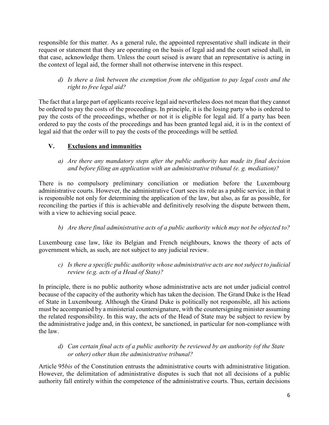responsible for this matter. As a general rule, the appointed representative shall indicate in their request or statement that they are operating on the basis of legal aid and the court seised shall, in that case, acknowledge them. Unless the court seised is aware that an representative is acting in the context of legal aid, the former shall not otherwise intervene in this respect.

*d) Is there a link between the exemption from the obligation to pay legal costs and the right to free legal aid?*

The fact that a large part of applicants receive legal aid nevertheless does not mean that they cannot be ordered to pay the costs of the proceedings. In principle, it is the losing party who is ordered to pay the costs of the proceedings, whether or not it is eligible for legal aid. If a party has been ordered to pay the costs of the proceedings and has been granted legal aid, it is in the context of legal aid that the order will to pay the costs of the proceedings will be settled.

## **V. Exclusions and immunities**

*a) Are there any mandatory steps after the public authority has made its final decision and before filing an application with an administrative tribunal (e. g. mediation)?*

There is no compulsory preliminary conciliation or mediation before the Luxembourg administrative courts. However, the administrative Court sees its role as a public service, in that it is responsible not only for determining the application of the law, but also, as far as possible, for reconciling the parties if this is achievable and definitively resolving the dispute between them, with a view to achieving social peace.

## *b) Are there final administrative acts of a public authority which may not be objected to?*

Luxembourg case law, like its Belgian and French neighbours, knows the theory of acts of government which, as such, are not subject to any judicial review.

*c) Is there a specific public authority whose administrative acts are not subject to judicial review (e.g. acts of a Head of State)?*

In principle, there is no public authority whose administrative acts are not under judicial control because of the capacity of the authority which has taken the decision. The Grand Duke is the Head of State in Luxembourg. Although the Grand Duke is politically not responsible, all his actions must be accompanied by a ministerial countersignature, with the countersigning minister assuming the related responsibility. In this way, the acts of the Head of State may be subject to review by the administrative judge and, in this context, be sanctioned, in particular for non-compliance with the law.

*d) Can certain final acts of a public authority be reviewed by an authority (of the State or other) other than the administrative tribunal?*

Article 95*bis* of the Constitution entrusts the administrative courts with administrative litigation. However, the delimitation of administrative disputes is such that not all decisions of a public authority fall entirely within the competence of the administrative courts. Thus, certain decisions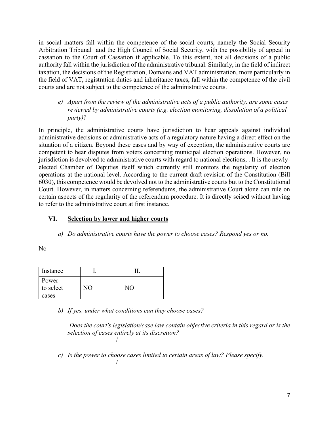in social matters fall within the competence of the social courts, namely the Social Security Arbitration Tribunal and the High Council of Social Security, with the possibility of appeal in cassation to the Court of Cassation if applicable. To this extent, not all decisions of a public authority fall within the jurisdiction of the administrative tribunal. Similarly, in the field of indirect taxation, the decisions of the Registration, Domains and VAT administration, more particularly in the field of VAT, registration duties and inheritance taxes, fall within the competence of the civil courts and are not subject to the competence of the administrative courts.

*e) Apart from the review of the administrative acts of a public authority, are some cases reviewed by administrative courts (e.g. election monitoring, dissolution of a political party)?*

In principle, the administrative courts have jurisdiction to hear appeals against individual administrative decisions or administrative acts of a regulatory nature having a direct effect on the situation of a citizen. Beyond these cases and by way of exception, the administrative courts are competent to hear disputes from voters concerning municipal election operations. However, no jurisdiction is devolved to administrative courts with regard to national elections, . It is the newlyelected Chamber of Deputies itself which currently still monitors the regularity of election operations at the national level. According to the current draft revision of the Constitution (Bill 6030), this competence would be devolved not to the administrative courts but to the Constitutional Court. However, in matters concerning referendums, the administrative Court alone can rule on certain aspects of the regularity of the referendum procedure. It is directly seised without having to refer to the administrative court at first instance.

### **VI. Selection by lower and higher courts**

*a) Do administrative courts have the power to choose cases? Respond yes or no.*

No

| Instance                    |    |    |
|-----------------------------|----|----|
| Power<br>to select<br>cases | NО | NО |

*b) If yes, under what conditions can they choose cases?*

/

*Does the court's legislation/case law contain objective criteria in this regard or is the selection of cases entirely at its discretion?* /

*c) Is the power to choose cases limited to certain areas of law? Please specify.*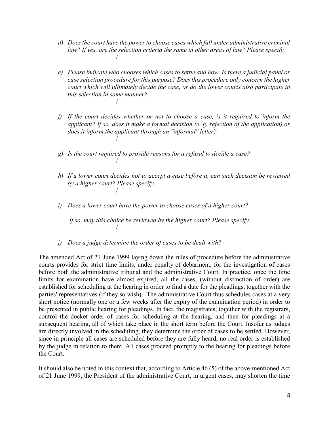- *d) Does the court have the power to choose cases which fall under administrative criminal law? If yes, are the selection criteria the same in other areas of law? Please specify.* /
- *e) Please indicate who chooses which cases to settle and how. Is there a judicial panel or case selection procedure for this purpose? Does this procedure only concern the higher court which will ultimately decide the case, or do the lower courts also participate in this selection in some manner?* /
- *f) If the court decides whether or not to choose a case, is it required to inform the applicant? If so, does it make a formal decision (e. g. rejection of the application) or does it inform the applicant through an "informal" letter?* /
- *g) Is the court required to provide reasons for a refusal to decide a case?*

/

- *h) If a lower court decides not to accept a case before it, can such decision be reviewed by a higher court? Please specify.* /
- *i) Does a lower court have the power to choose cases of a higher court?*

*If so, may this choice be reviewed by the higher court? Please specify.* /

*j) Does a judge determine the order of cases to be dealt with?*

The amended Act of 21 June 1999 laying down the rules of procedure before the administrative courts provides for strict time limits, under penalty of debarment, for the investigation of cases before both the administrative tribunal and the administrative Court. In practice, once the time limits for examination have almost expired, all the cases, (without distinction of order) are established for scheduling at the hearing in order to find a date for the pleadings, together with the parties' representatives (if they so wish) . The administrative Court thus schedules cases at a very short notice (normally one or a few weeks after the expiry of the examination period) in order to be presented in public hearing for pleadings. In fact, the magistrates, together with the registrars, control the docket order of cases for scheduling at the hearing, and then for pleadings at a subsequent hearing, all of which take place in the short term before the Court. Insofar as judges are directly involved in the scheduling, they determine the order of cases to be settled. However, since in principle all cases are scheduled before they are fully heard, no real order is established by the judge in relation to them. All cases proceed promptly to the hearing for pleadings before the Court.

It should also be noted in this context that, according to Article 46 (5) of the above-mentioned Act of 21 June 1999, the President of the administrative Court, in urgent cases, may shorten the time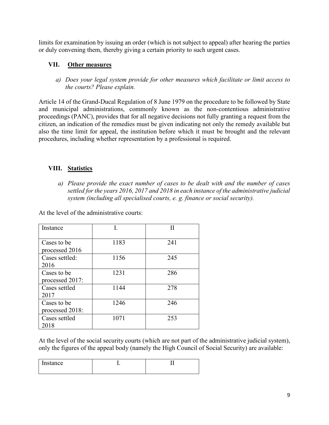limits for examination by issuing an order (which is not subject to appeal) after hearing the parties or duly convening them, thereby giving a certain priority to such urgent cases.

## **VII. Other measures**

*a) Does your legal system provide for other measures which facilitate or limit access to the courts? Please explain.*

Article 14 of the Grand-Ducal Regulation of 8 June 1979 on the procedure to be followed by State and municipal administrations, commonly known as the non-contentious administrative proceedings (PANC), provides that for all negative decisions not fully granting a request from the citizen, an indication of the remedies must be given indicating not only the remedy available but also the time limit for appeal, the institution before which it must be brought and the relevant procedures, including whether representation by a professional is required.

## **VIII. Statistics**

*a) Please provide the exact number of cases to be dealt with and the number of cases settled for the years 2016, 2017 and 2018 in each instance of the administrative judicial system (including all specialised courts, e. g. finance or social security).* 

At the level of the administrative courts:

| Instance                       | I.   | Н   |
|--------------------------------|------|-----|
| Cases to be<br>processed 2016  | 1183 | 241 |
| Cases settled:<br>2016         | 1156 | 245 |
| Cases to be<br>processed 2017: | 1231 | 286 |
| Cases settled<br>2017          | 1144 | 278 |
| Cases to be<br>processed 2018: | 1246 | 246 |
| Cases settled<br>2018          | 1071 | 253 |

At the level of the social security courts (which are not part of the administrative judicial system), only the figures of the appeal body (namely the High Council of Social Security) are available:

| Instance |  |
|----------|--|
|          |  |